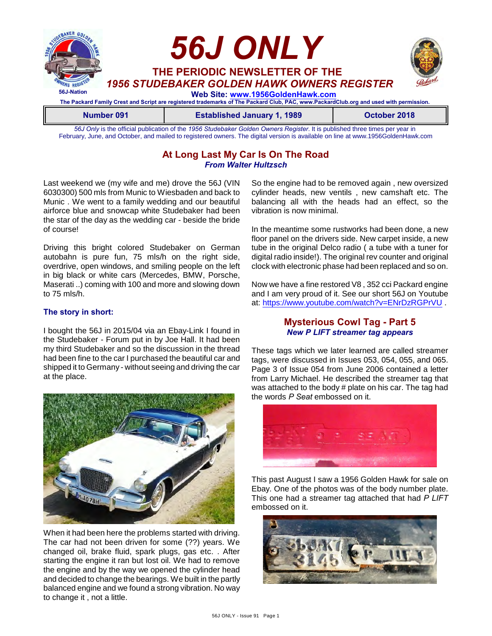

**Number 091 Established January 1, 1989 Colombia 2018** *56J Only* is the official publication of the *1956 Studebaker Golden Owners Register*. It is published three times per year in

February, June, and October, and mailed to registered owners. The digital version is available on line at www.1956GoldenHawk.com

## **At Long Last My Car Is On The Road** *From Walter Hultzsch*

Last weekend we (my wife and me) drove the 56J (VIN 6030300) 500 mls from Munic to Wiesbaden and back to Munic . We went to a family wedding and our beautiful airforce blue and snowcap white Studebaker had been the star of the day as the wedding car - beside the bride of course!

Driving this bright colored Studebaker on German autobahn is pure fun, 75 mls/h on the right side, overdrive, open windows, and smiling people on the left in big black or white cars (Mercedes, BMW, Porsche, Maserati ..) coming with 100 and more and slowing down to 75 mls/h.

#### **The story in short:**

I bought the 56J in 2015/04 via an Ebay-Link I found in the Studebaker - Forum put in by Joe Hall. It had been my third Studebaker and so the discussion in the thread had been fine to the car I purchased the beautiful car and shipped it to Germany - without seeing and driving the car at the place.



When it had been here the problems started with driving. The car had not been driven for some (??) years. We changed oil, brake fluid, spark plugs, gas etc. . After starting the engine it ran but lost oil. We had to remove the engine and by the way we opened the cylinder head and decided to change the bearings. We built in the partly balanced engine and we found a strong vibration. No way to change it , not a little.

So the engine had to be removed again , new oversized cylinder heads, new ventils , new camshaft etc. The balancing all with the heads had an effect, so the vibration is now minimal.

In the meantime some rustworks had been done, a new floor panel on the drivers side. New carpet inside, a new tube in the original Delco radio ( a tube with a tuner for digital radio inside!). The original rev counter and original clock with electronic phase had been replaced and so on.

Now we have a fine restored V8 , 352 cci Packard engine and I am very proud of it. See our short 56J on Youtube at:<https://www.youtube.com/watch?v=ENrDzRGPrVU> .

#### **Mysterious Cowl Tag - Part 5** *New P LIFT streamer tag appears*

These tags which we later learned are called streamer tags, were discussed in Issues 053, 054, 055, and 065. Page 3 of Issue 054 from June 2006 contained a letter from Larry Michael. He described the streamer tag that was attached to the body # plate on his car. The tag had the words *P Seat* embossed on it.



This past August I saw a 1956 Golden Hawk for sale on Ebay. One of the photos was of the body number plate. This one had a streamer tag attached that had *P LIFT* embossed on it.

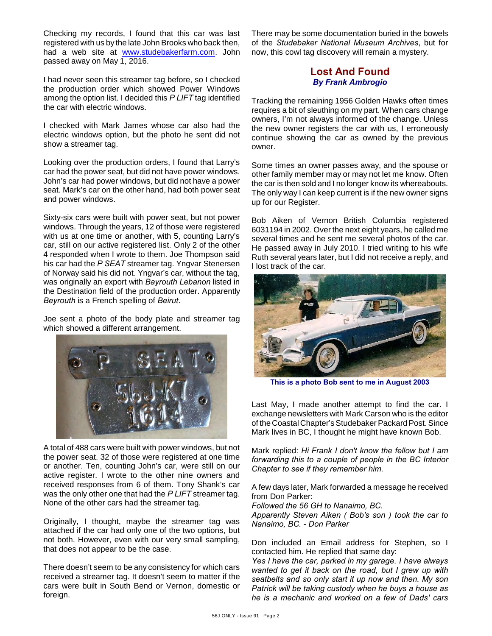Checking my records, I found that this car was last registered with us by the late John Brooks who back then, had a web site at [www.studebakerfarm.com](http://www.studebakerfarm.com.). John passed away on May 1, 2016.

I had never seen this streamer tag before, so I checked the production order which showed Power Windows among the option list. I decided this *P LIFT* tag identified the car with electric windows.

I checked with Mark James whose car also had the electric windows option, but the photo he sent did not show a streamer tag.

Looking over the production orders, I found that Larry's car had the power seat, but did not have power windows. John's car had power windows, but did not have a power seat. Mark's car on the other hand, had both power seat and power windows.

Sixty-six cars were built with power seat, but not power windows. Through the years, 12 of those were registered with us at one time or another, with 5, counting Larry's car, still on our active registered list. Only 2 of the other 4 responded when I wrote to them. Joe Thompson said his car had the *P SEAT* streamer tag. Yngvar Stenersen of Norway said his did not. Yngvar's car, without the tag, was originally an export with *Bayrouth Lebanon* listed in the Destination field of the production order. Apparently *Beyrouth* is a French spelling of *Beirut*.

Joe sent a photo of the body plate and streamer tag which showed a different arrangement.



A total of 488 cars were built with power windows, but not the power seat. 32 of those were registered at one time or another. Ten, counting John's car, were still on our active register. I wrote to the other nine owners and received responses from 6 of them. Tony Shank's car was the only other one that had the *P LIFT* streamer tag. None of the other cars had the streamer tag.

Originally, I thought, maybe the streamer tag was attached if the car had only one of the two options, but not both. However, even with our very small sampling, that does not appear to be the case.

There doesn't seem to be any consistency for which cars received a streamer tag. It doesn't seem to matter if the cars were built in South Bend or Vernon, domestic or foreign.

There may be some documentation buried in the bowels of the *Studebaker National Museum Archives*, but for now, this cowl tag discovery will remain a mystery.

## **Lost And Found** *By Frank Ambrogio*

Tracking the remaining 1956 Golden Hawks often times requires a bit of sleuthing on my part. When cars change owners, I'm not always informed of the change. Unless the new owner registers the car with us, I erroneously continue showing the car as owned by the previous owner.

Some times an owner passes away, and the spouse or other family member may or may not let me know. Often the car is then sold and I no longer know its whereabouts. The only way I can keep current is if the new owner signs up for our Register.

Bob Aiken of Vernon British Columbia registered 6031194 in 2002. Over the next eight years, he called me several times and he sent me several photos of the car. He passed away in July 2010. I tried writing to his wife Ruth several years later, but I did not receive a reply, and I lost track of the car.



**This is a photo Bob sent to me in August 2003**

Last May, I made another attempt to find the car. I exchange newsletters with Mark Carson who is the editor of the Coastal Chapter's Studebaker Packard Post. Since Mark lives in BC, I thought he might have known Bob.

Mark replied: *Hi Frank I don't know the fellow but I am forwarding this to a couple of people in the BC Interior Chapter to see if they remember him.*

A few days later, Mark forwarded a message he received from Don Parker:

*Followed the 56 GH to Nanaimo, BC.*

*Apparently Steven Aiken ( Bob's son ) took the car to Nanaimo, BC. - Don Parker*

Don included an Email address for Stephen, so I contacted him. He replied that same day:

*Yes I have the car, parked in my garage. I have always wanted to get it back on the road, but I grew up with seatbelts and so only start it up now and then. My son Patrick will be taking custody when he buys a house as he is a mechanic and worked on a few of Dads' cars*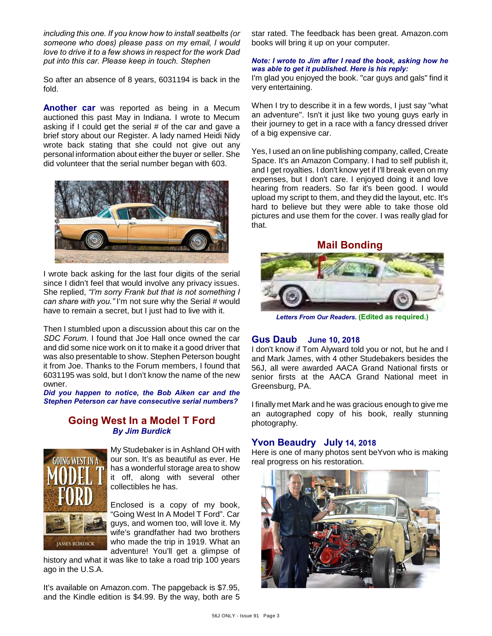*including this one. If you know how to install seatbelts (or someone who does) please pass on my email, I would love to drive it to a few shows in respect for the work Dad put into this car. Please keep in touch. Stephen*

So after an absence of 8 years, 6031194 is back in the fold.

**Another car** was reported as being in a Mecum auctioned this past May in Indiana. I wrote to Mecum asking if I could get the serial # of the car and gave a brief story about our Register. A lady named Heidi Nidy wrote back stating that she could not give out any personal information about either the buyer or seller. She did volunteer that the serial number began with 603.



I wrote back asking for the last four digits of the serial since I didn't feel that would involve any privacy issues. She replied, *"I'm sorry Frank but that is not something I can share with you."* I'm not sure why the Serial # would have to remain a secret, but I just had to live with it.

Then I stumbled upon a discussion about this car on the *SDC Forum*. I found that Joe Hall once owned the car and did some nice work on it to make it a good driver that was also presentable to show. Stephen Peterson bought it from Joe. Thanks to the Forum members, I found that 6031195 was sold, but I don't know the name of the new owner.

*Did you happen to notice, the Bob Aiken car and the Stephen Peterson car have consecutive serial numbers?*

#### **Going West In a Model T Ford** *By Jim Burdick*



My Studebaker is in Ashland OH with our son. It's as beautiful as ever. He has a wonderful storage area to show it off, along with several other collectibles he has.

Enclosed is a copy of my book, "Going West In A Model T Ford". Car guys, and women too, will love it. My wife's grandfather had two brothers who made the trip in 1919. What an adventure! You'll get a glimpse of

history and what it was like to take a road trip 100 years ago in the U.S.A.

It's available on Amazon.com. The papgeback is \$7.95, and the Kindle edition is \$4.99. By the way, both are 5 star rated. The feedback has been great. Amazon.com books will bring it up on your computer.

#### *Note: I wrote to Jim after I read the book, asking how he was able to get it published. Here is his reply:*

I'm glad you enjoyed the book. "car guys and gals" find it very entertaining.

When I try to describe it in a few words, I just say "what an adventure". Isn't it just like two young guys early in their journey to get in a race with a fancy dressed driver of a big expensive car.

Yes, I used an on line publishing company, called, Create Space. It's an Amazon Company. I had to self publish it, and I get royalties. I don't know yet if I'll break even on my expenses, but I don't care. I enjoyed doing it and love hearing from readers. So far it's been good. I would upload my script to them, and they did the layout, etc. It's hard to believe but they were able to take those old pictures and use them for the cover. I was really glad for that.

**Mail Bonding**



*Letters From Our Readers.* **(Edited as required.)**

## **Gus Daub June 10, 2018**

I don't know if Tom Alyward told you or not, but he and I and Mark James, with 4 other Studebakers besides the 56J, all were awarded AACA Grand National firsts or senior firsts at the AACA Grand National meet in Greensburg, PA.

I finally met Mark and he was gracious enough to give me an autographed copy of his book, really stunning photography.

#### **Yvon Beaudry July 14, 2018**

Here is one of many photos sent beYvon who is making real progress on his restoration.

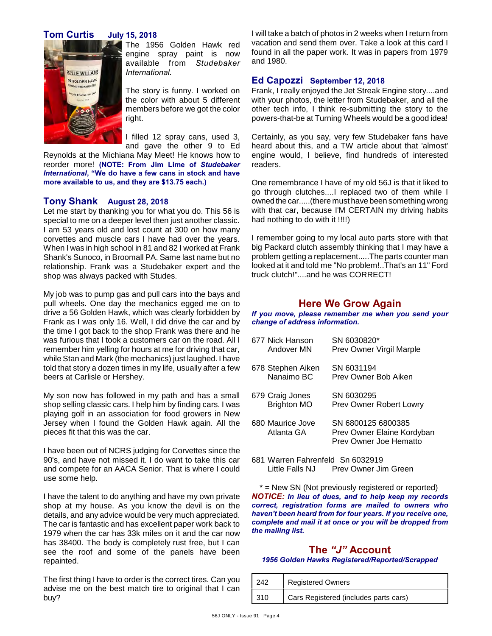## **Tom Curtis July 15, 2018**



The 1956 Golden Hawk red engine spray paint is now available from *Studebaker International*.

The story is funny. I worked on the color with about 5 different members before we got the color right.

I filled 12 spray cans, used 3, and gave the other 9 to Ed

Reynolds at the Michiana May Meet! He knows how to reorder more! **(NOTE: From Jim Lime of** *Studebaker International***, "We do have a few cans in stock and have more available to us, and they are \$13.75 each.)**

#### **Tony Shank August 28, 2018**

Let me start by thanking you for what you do. This 56 is special to me on a deeper level then just another classic. I am 53 years old and lost count at 300 on how many corvettes and muscle cars I have had over the years. When I was in high school in 81 and 82 I worked at Frank Shank's Sunoco, in Broomall PA. Same last name but no relationship. Frank was a Studebaker expert and the shop was always packed with Studes.

My job was to pump gas and pull cars into the bays and pull wheels. One day the mechanics egged me on to drive a 56 Golden Hawk, which was clearly forbidden by Frank as I was only 16. Well, I did drive the car and by the time I got back to the shop Frank was there and he was furious that I took a customers car on the road. All I remember him yelling for hours at me for driving that car, while Stan and Mark (the mechanics) just laughed. I have told that story a dozen times in my life, usually after a few beers at Carlisle or Hershey.

My son now has followed in my path and has a small shop selling classic cars. I help him by finding cars. I was playing golf in an association for food growers in New Jersey when I found the Golden Hawk again. All the pieces fit that this was the car.

I have been out of NCRS judging for Corvettes since the 90's, and have not missed it. I do want to take this car and compete for an AACA Senior. That is where I could use some help.

I have the talent to do anything and have my own private shop at my house. As you know the devil is on the details, and any advice would be very much appreciated. The car is fantastic and has excellent paper work back to 1979 when the car has 33k miles on it and the car now has 38400. The body is completely rust free, but I can see the roof and some of the panels have been repainted.

The first thing I have to order is the correct tires. Can you advise me on the best match tire to original that I can buy?

I will take a batch of photos in 2 weeks when I return from vacation and send them over. Take a look at this card I found in all the paper work. It was in papers from 1979 and 1980.

#### **Ed Capozzi September 12, 2018**

Frank, I really enjoyed the Jet Streak Engine story....and with your photos, the letter from Studebaker, and all the other tech info, I think re-submitting the story to the powers-that-be at Turning Wheels would be a good idea!

Certainly, as you say, very few Studebaker fans have heard about this, and a TW article about that 'almost' engine would, I believe, find hundreds of interested readers.

One remembrance I have of my old 56J is that it liked to go through clutches....I replaced two of them while I owned the car.....(there must have been something wrong with that car, because I'M CERTAIN my driving habits had nothing to do with it !!!!)

I remember going to my local auto parts store with that big Packard clutch assembly thinking that I may have a problem getting a replacement.....The parts counter man looked at it and told me "No problem!..That's an 11" Ford truck clutch!"....and he was CORRECT!

## **Here We Grow Again**

*If you move, please remember me when you send your change of address information.*

| 677 Nick Hanson                | SN 6030820*                                                                |
|--------------------------------|----------------------------------------------------------------------------|
| Andover MN                     | Prev Owner Virgil Marple                                                   |
| 678 Stephen Aiken              | SN 6031194                                                                 |
| Nanaimo BC                     | Prev Owner Bob Aiken                                                       |
| 679 Craig Jones                | SN 6030295                                                                 |
| <b>Brighton MO</b>             | Prev Owner Robert Lowry                                                    |
| 680 Maurice Jove<br>Atlanta GA | SN 6800125 6800385<br>Prev Owner Elaine Kordyban<br>Prev Owner Joe Hematto |

681 Warren Fahrenfeld Sn 6032919 Little Falls NJ Prev Owner Jim Green

\* = New SN (Not previously registered or reported) *NOTICE: In lieu of dues, and to help keep my records correct, registration forms are mailed to owners who haven't been heard from for four years. If you receive one, complete and mail it at once or you will be dropped from the mailing list.*

#### **The** *"J"* **Account** *1956 Golden Hawks Registered/Reported/Scrapped*

| 242  | <b>Registered Owners</b>              |
|------|---------------------------------------|
| -310 | Cars Registered (includes parts cars) |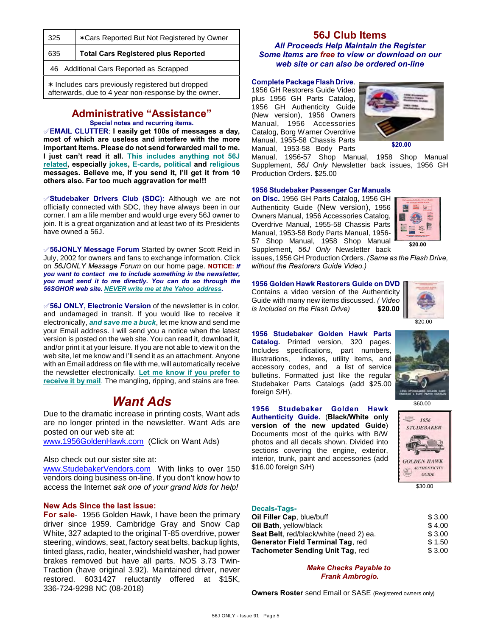| 325                                                                                                       | *Cars Reported But Not Registered by Owner |  |
|-----------------------------------------------------------------------------------------------------------|--------------------------------------------|--|
| 635                                                                                                       | <b>Total Cars Registered plus Reported</b> |  |
| 46 Additional Cars Reported as Scrapped                                                                   |                                            |  |
| * Includes cars previously registered but dropped<br>afterwards, due to 4 year non-response by the owner. |                                            |  |

# **Administrative "Assistance"**

**Special notes and recurring items.**

°**EMAIL CLUTTER**: **I easily get 100s of messages a day, most of which are useless and interfere with the more important items. Please do not send forwarded mail to me. I just can't read it all. This includes anything not 56J related, especially jokes, E-cards, political and religious messages. Believe me, if you send it, I'll get it from 10 others also. Far too much aggravation for me!!!**

**Studebaker Drivers Club (SDC):** Although we are not officially connected with SDC, they have always been in our corner. I am a life member and would urge every 56J owner to join. It is a great organization and at least two of its Presidents have owned a 56J.

°**56JONLY Message Forum** Started by owner Scott Reid in July, 2002 for owners and fans to exchange information. Click on *56JONLY Message Forum* on our home page. **NOTICE:** *If you want to contact me to include something in the newsletter, you must send it to me directly. You can do so through the 56SGHOR web site. NEVER write me at the Yahoo address.*

°**56J ONLY, Electronic Version** of the newsletter is in color, and undamaged in transit. If you would like to receive it electronically, *and save me a buck*, let me know and send me your Email address. I will send you a notice when the latest version is posted on the web site. You can read it, download it, and/or print it at your leisure. If you are not able to view it on the web site, let me know and I'll send it as an attachment. Anyone with an Email address on file with me, will automatically receive the newsletter electronically. **Let me know if you prefer to receive it by mail**. The mangling, ripping, and stains are free.

# *Want Ads*

Due to the dramatic increase in printing costs, Want ads are no longer printed in the newsletter. Want Ads are posted on our web site at:

[www.1956GoldenHawk.com](http://www.1956GoldenHawk.com) (Click on Want Ads)

Also check out our sister site at:

[www.StudebakerVendors.com](http://www.StudebakerVendors.com) With links to over 150 vendors doing business on-line. If you don't know how to access the Internet *ask one of your grand kids for help!*

#### **New Ads Since the last issue:**

**For sale**- 1956 Golden Hawk, I have been the primary driver since 1959. Cambridge Gray and Snow Cap White, 327 adapted to the original T-85 overdrive, power steering, windows, seat, factory seat belts, backup lights, tinted glass, radio, heater, windshield washer, had power brakes removed but have all parts. NOS 3.73 Twin-Traction (have original 3.92). Maintained driver, never restored. 6031427 reluctantly offered at \$15K, 336-724-9298 NC (08-2018)

#### **56J Club Items** *All Proceeds Help Maintain the Register Some Items are free to view or download on our web site or can also be ordered on-line*

#### **Complete Package Flash Drive**.

1956 GH Restorers Guide Video plus 1956 GH Parts Catalog, 1956 GH Authenticity Guide (New version), 1956 Owners Manual, 1956 Accessories Catalog, Borg Warner Overdrive Manual, 1955-58 Chassis Parts Manual, 1953-58 Body Parts



Manual, 1956-57 Shop Manual, 1958 Shop Manual Supplement, *56J Only* Newsletter back issues, 1956 GH Production Orders. \$25.00

#### **1956 Studebaker Passenger Car Manuals**

**on Disc.** 1956 GH Parts Catalog, 1956 GH Authenticity Guide (New version), 1956 Owners Manual, 1956 Accessories Catalog, Overdrive Manual, 1955-58 Chassis Parts Manual, 1953-58 Body Parts Manual, 1956- 57 Shop Manual, 1958 Shop Manual Supplement, *56J Only* Newsletter back



issues, 1956 GH Production Orders. *(Same as the Flash Drive, without the Restorers Guide Video.)*

## **1956 Golden Hawk Restorers Guide on DVD**

Contains a video version of the Authenticity Guide with many new items discussed. *( Video is Included on the Flash Drive)* **\$20.00**



\$60.00

1956 **STUDEBAKER** 

\$30.00

**GOLDEN HAWK** AUTHENTICITY  $GUIDE$ 

**1956 Studebaker Golden Hawk Parts Catalog.** Printed version, 320 pages. Includes specifications, part numbers, illustrations, indexes, utility items, and accessory codes, and a list of service bulletins. Formatted just like the regular Studebaker Parts Catalogs (add \$25.00 foreign S/H).

**1956 Studebaker Golden Hawk Authenticity Guide.** (**Black/White only version of the new updated Guide**) Documents most of the quirks with B/W photos and all decals shown. Divided into sections covering the engine, exterior, interior, trunk, paint and accessories (add \$16.00 foreign S/H)

#### **Decals-Tags-**

| \$3.00 |
|--------|
| \$4.00 |
| \$3.00 |
| \$1.50 |
| \$3.00 |
|        |

*Make Checks Payable to Frank Ambrogio.*

**Owners Roster** send Email or SASE (Registered owners only)